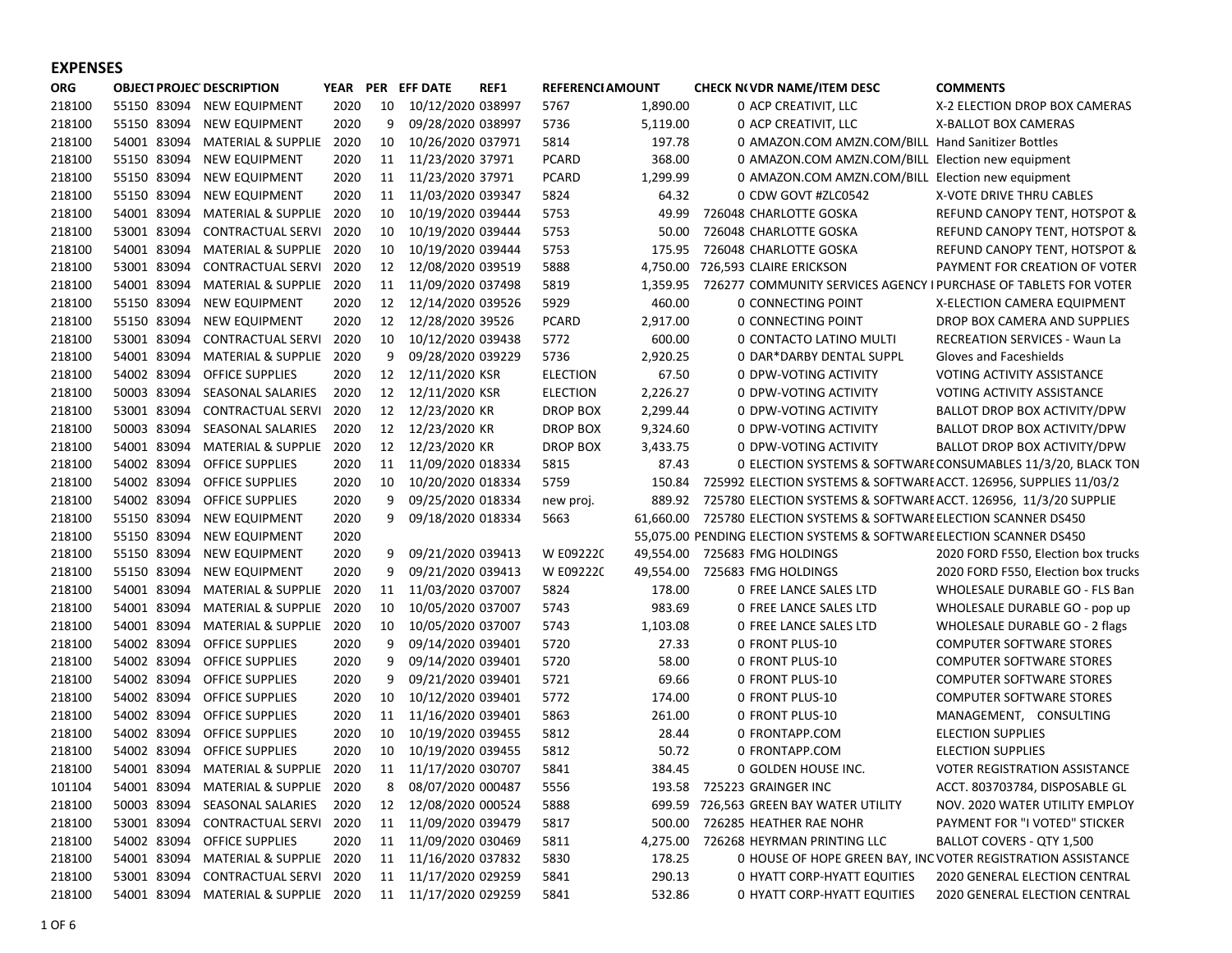## EXPENSES

| <b>ORG</b> |             | <b>OBJECT PROJEC DESCRIPTION</b> | YEAR |    | PER EFF DATE      | REF1 | <b>REFERENCI AMOUNT</b> |           | <b>CHECK N(VDR NAME/ITEM DESC</b>                                    | <b>COMMENTS</b>                                              |
|------------|-------------|----------------------------------|------|----|-------------------|------|-------------------------|-----------|----------------------------------------------------------------------|--------------------------------------------------------------|
| 218100     | 55150 83094 | <b>NEW EQUIPMENT</b>             | 2020 | 10 | 10/12/2020 038997 |      | 5767                    | 1,890.00  | 0 ACP CREATIVIT, LLC                                                 | X-2 ELECTION DROP BOX CAMERAS                                |
| 218100     | 55150 83094 | <b>NEW EQUIPMENT</b>             | 2020 | 9  | 09/28/2020 038997 |      | 5736                    | 5,119.00  | 0 ACP CREATIVIT, LLC                                                 | X-BALLOT BOX CAMERAS                                         |
| 218100     | 54001 83094 | MATERIAL & SUPPLIE               | 2020 | 10 | 10/26/2020 037971 |      | 5814                    | 197.78    | 0 AMAZON.COM AMZN.COM/BILL Hand Sanitizer Bottles                    |                                                              |
| 218100     | 55150 83094 | <b>NEW EQUIPMENT</b>             | 2020 | 11 | 11/23/2020 37971  |      | <b>PCARD</b>            | 368.00    | 0 AMAZON.COM AMZN.COM/BILL Election new equipment                    |                                                              |
| 218100     | 55150 83094 | <b>NEW EQUIPMENT</b>             | 2020 | 11 | 11/23/2020 37971  |      | <b>PCARD</b>            | 1,299.99  | 0 AMAZON.COM AMZN.COM/BILL Election new equipment                    |                                                              |
| 218100     | 55150 83094 | <b>NEW EQUIPMENT</b>             | 2020 | 11 | 11/03/2020 039347 |      | 5824                    | 64.32     | 0 CDW GOVT #ZLC0542                                                  | X-VOTE DRIVE THRU CABLES                                     |
| 218100     | 54001 83094 | MATERIAL & SUPPLIE               | 2020 | 10 | 10/19/2020 039444 |      | 5753                    | 49.99     | 726048 CHARLOTTE GOSKA                                               | REFUND CANOPY TENT, HOTSPOT &                                |
| 218100     | 53001 83094 | CONTRACTUAL SERVI                | 2020 | 10 | 10/19/2020 039444 |      | 5753                    | 50.00     | 726048 CHARLOTTE GOSKA                                               | REFUND CANOPY TENT, HOTSPOT &                                |
| 218100     | 54001 83094 | <b>MATERIAL &amp; SUPPLIE</b>    | 2020 | 10 | 10/19/2020 039444 |      | 5753                    | 175.95    | 726048 CHARLOTTE GOSKA                                               | REFUND CANOPY TENT, HOTSPOT &                                |
| 218100     | 53001 83094 | CONTRACTUAL SERVI                | 2020 | 12 | 12/08/2020 039519 |      | 5888                    |           | 4,750.00 726,593 CLAIRE ERICKSON                                     | PAYMENT FOR CREATION OF VOTER                                |
| 218100     | 54001 83094 | MATERIAL & SUPPLIE               | 2020 | 11 | 11/09/2020 037498 |      | 5819                    | 1,359.95  | 726277 COMMUNITY SERVICES AGENCY I PURCHASE OF TABLETS FOR VOTER     |                                                              |
| 218100     | 55150 83094 | <b>NEW EQUIPMENT</b>             | 2020 | 12 | 12/14/2020 039526 |      | 5929                    | 460.00    | 0 CONNECTING POINT                                                   | X-ELECTION CAMERA EQUIPMENT                                  |
| 218100     | 55150 83094 | <b>NEW EQUIPMENT</b>             | 2020 | 12 | 12/28/2020 39526  |      | PCARD                   | 2,917.00  | 0 CONNECTING POINT                                                   | DROP BOX CAMERA AND SUPPLIES                                 |
| 218100     | 53001 83094 | <b>CONTRACTUAL SERVI</b>         | 2020 | 10 | 10/12/2020 039438 |      | 5772                    | 600.00    | 0 CONTACTO LATINO MULTI                                              | <b>RECREATION SERVICES - Waun La</b>                         |
| 218100     | 54001 83094 | <b>MATERIAL &amp; SUPPLIE</b>    | 2020 | 9  | 09/28/2020 039229 |      | 5736                    | 2,920.25  | 0 DAR*DARBY DENTAL SUPPL                                             | Gloves and Faceshields                                       |
| 218100     | 54002 83094 | <b>OFFICE SUPPLIES</b>           | 2020 | 12 | 12/11/2020 KSR    |      | <b>ELECTION</b>         | 67.50     | 0 DPW-VOTING ACTIVITY                                                | <b>VOTING ACTIVITY ASSISTANCE</b>                            |
| 218100     | 50003 83094 | <b>SEASONAL SALARIES</b>         | 2020 | 12 | 12/11/2020 KSR    |      | <b>ELECTION</b>         | 2,226.27  | 0 DPW-VOTING ACTIVITY                                                | <b>VOTING ACTIVITY ASSISTANCE</b>                            |
| 218100     | 53001 83094 | <b>CONTRACTUAL SERVI</b>         | 2020 | 12 | 12/23/2020 KR     |      | DROP BOX                | 2,299.44  | 0 DPW-VOTING ACTIVITY                                                | BALLOT DROP BOX ACTIVITY/DPW                                 |
| 218100     | 50003 83094 | SEASONAL SALARIES                | 2020 | 12 | 12/23/2020 KR     |      | <b>DROP BOX</b>         | 9,324.60  | 0 DPW-VOTING ACTIVITY                                                | BALLOT DROP BOX ACTIVITY/DPW                                 |
| 218100     | 54001 83094 | MATERIAL & SUPPLIE               | 2020 | 12 | 12/23/2020 KR     |      | <b>DROP BOX</b>         | 3,433.75  | 0 DPW-VOTING ACTIVITY                                                | BALLOT DROP BOX ACTIVITY/DPW                                 |
| 218100     | 54002 83094 | OFFICE SUPPLIES                  | 2020 | 11 | 11/09/2020 018334 |      | 5815                    | 87.43     |                                                                      | 0 ELECTION SYSTEMS & SOFTWARE CONSUMABLES 11/3/20, BLACK TON |
| 218100     | 54002 83094 | <b>OFFICE SUPPLIES</b>           | 2020 | 10 | 10/20/2020 018334 |      | 5759                    | 150.84    | 725992 ELECTION SYSTEMS & SOFTWARE ACCT. 126956, SUPPLIES 11/03/2    |                                                              |
| 218100     | 54002 83094 | OFFICE SUPPLIES                  | 2020 | 9  | 09/25/2020 018334 |      | new proj.               | 889.92    | 725780 ELECTION SYSTEMS & SOFTWARE ACCT. 126956, 11/3/20 SUPPLIE     |                                                              |
| 218100     | 55150 83094 | <b>NEW EQUIPMENT</b>             | 2020 | 9  | 09/18/2020 018334 |      | 5663                    | 61.660.00 | 725780 ELECTION SYSTEMS & SOFTWARE ELECTION SCANNER DS450            |                                                              |
| 218100     | 55150 83094 | <b>NEW EQUIPMENT</b>             | 2020 |    |                   |      |                         |           | 55,075.00 PENDING ELECTION SYSTEMS & SOFTWARE ELECTION SCANNER DS450 |                                                              |
| 218100     | 55150 83094 | <b>NEW EQUIPMENT</b>             | 2020 | 9  | 09/21/2020 039413 |      | W E092220               | 49,554.00 | 725683 FMG HOLDINGS                                                  | 2020 FORD F550, Election box trucks                          |
| 218100     | 55150 83094 | <b>NEW EQUIPMENT</b>             | 2020 | 9  | 09/21/2020 039413 |      | W E092220               | 49,554.00 | 725683 FMG HOLDINGS                                                  | 2020 FORD F550, Election box trucks                          |
| 218100     | 54001 83094 | MATERIAL & SUPPLIE               | 2020 | 11 | 11/03/2020 037007 |      | 5824                    | 178.00    | <b>0 FREE LANCE SALES LTD</b>                                        | <b>WHOLESALE DURABLE GO - FLS Ban</b>                        |
| 218100     | 54001 83094 | <b>MATERIAL &amp; SUPPLIE</b>    | 2020 | 10 | 10/05/2020 037007 |      | 5743                    | 983.69    | 0 FREE LANCE SALES LTD                                               | WHOLESALE DURABLE GO - pop up                                |
| 218100     | 54001 83094 | MATERIAL & SUPPLIE               | 2020 | 10 | 10/05/2020 037007 |      | 5743                    | 1,103.08  | <b>0 FREE LANCE SALES LTD</b>                                        | <b>WHOLESALE DURABLE GO - 2 flags</b>                        |
| 218100     | 54002 83094 | <b>OFFICE SUPPLIES</b>           | 2020 | 9  | 09/14/2020 039401 |      | 5720                    | 27.33     | 0 FRONT PLUS-10                                                      | <b>COMPUTER SOFTWARE STORES</b>                              |
| 218100     | 54002 83094 | <b>OFFICE SUPPLIES</b>           | 2020 | 9  | 09/14/2020 039401 |      | 5720                    | 58.00     | 0 FRONT PLUS-10                                                      | <b>COMPUTER SOFTWARE STORES</b>                              |
| 218100     | 54002 83094 | <b>OFFICE SUPPLIES</b>           | 2020 | 9  | 09/21/2020 039401 |      | 5721                    | 69.66     | 0 FRONT PLUS-10                                                      | <b>COMPUTER SOFTWARE STORES</b>                              |
| 218100     | 54002 83094 | <b>OFFICE SUPPLIES</b>           | 2020 | 10 | 10/12/2020 039401 |      | 5772                    | 174.00    | 0 FRONT PLUS-10                                                      | <b>COMPUTER SOFTWARE STORES</b>                              |
| 218100     | 54002 83094 | <b>OFFICE SUPPLIES</b>           | 2020 | 11 | 11/16/2020 039401 |      | 5863                    | 261.00    | 0 FRONT PLUS-10                                                      | MANAGEMENT, CONSULTING                                       |
| 218100     | 54002 83094 | <b>OFFICE SUPPLIES</b>           | 2020 | 10 | 10/19/2020 039455 |      | 5812                    | 28.44     | 0 FRONTAPP.COM                                                       | <b>ELECTION SUPPLIES</b>                                     |
| 218100     | 54002 83094 | <b>OFFICE SUPPLIES</b>           | 2020 | 10 | 10/19/2020 039455 |      | 5812                    | 50.72     | 0 FRONTAPP.COM                                                       | <b>ELECTION SUPPLIES</b>                                     |
| 218100     | 54001 83094 | MATERIAL & SUPPLIE               | 2020 | 11 | 11/17/2020 030707 |      | 5841                    | 384.45    | 0 GOLDEN HOUSE INC.                                                  | <b>VOTER REGISTRATION ASSISTANCE</b>                         |
| 101104     | 54001 83094 | MATERIAL & SUPPLIE               | 2020 | 8  | 08/07/2020 000487 |      | 5556                    | 193.58    | 725223 GRAINGER INC                                                  | ACCT. 803703784, DISPOSABLE GL                               |
| 218100     | 50003 83094 | SEASONAL SALARIES                | 2020 | 12 | 12/08/2020 000524 |      | 5888                    | 699.59    | 726,563 GREEN BAY WATER UTILITY                                      | NOV. 2020 WATER UTILITY EMPLOY                               |
| 218100     | 53001 83094 | CONTRACTUAL SERVI                | 2020 | 11 | 11/09/2020 039479 |      | 5817                    | 500.00    | 726285 HEATHER RAE NOHR                                              | PAYMENT FOR "I VOTED" STICKER                                |
| 218100     | 54002 83094 | OFFICE SUPPLIES                  | 2020 | 11 | 11/09/2020 030469 |      | 5811                    | 4,275.00  | 726268 HEYRMAN PRINTING LLC                                          | BALLOT COVERS - QTY 1,500                                    |
| 218100     | 54001 83094 | MATERIAL & SUPPLIE               | 2020 | 11 | 11/16/2020 037832 |      | 5830                    | 178.25    |                                                                      | 0 HOUSE OF HOPE GREEN BAY, INC VOTER REGISTRATION ASSISTANCE |
| 218100     | 53001 83094 | CONTRACTUAL SERVI                | 2020 | 11 | 11/17/2020 029259 |      | 5841                    | 290.13    | 0 HYATT CORP-HYATT EQUITIES                                          | 2020 GENERAL ELECTION CENTRAL                                |
| 218100     | 54001 83094 | MATERIAL & SUPPLIE 2020          |      | 11 | 11/17/2020 029259 |      | 5841                    | 532.86    | 0 HYATT CORP-HYATT EQUITIES                                          | 2020 GENERAL ELECTION CENTRAL                                |
|            |             |                                  |      |    |                   |      |                         |           |                                                                      |                                                              |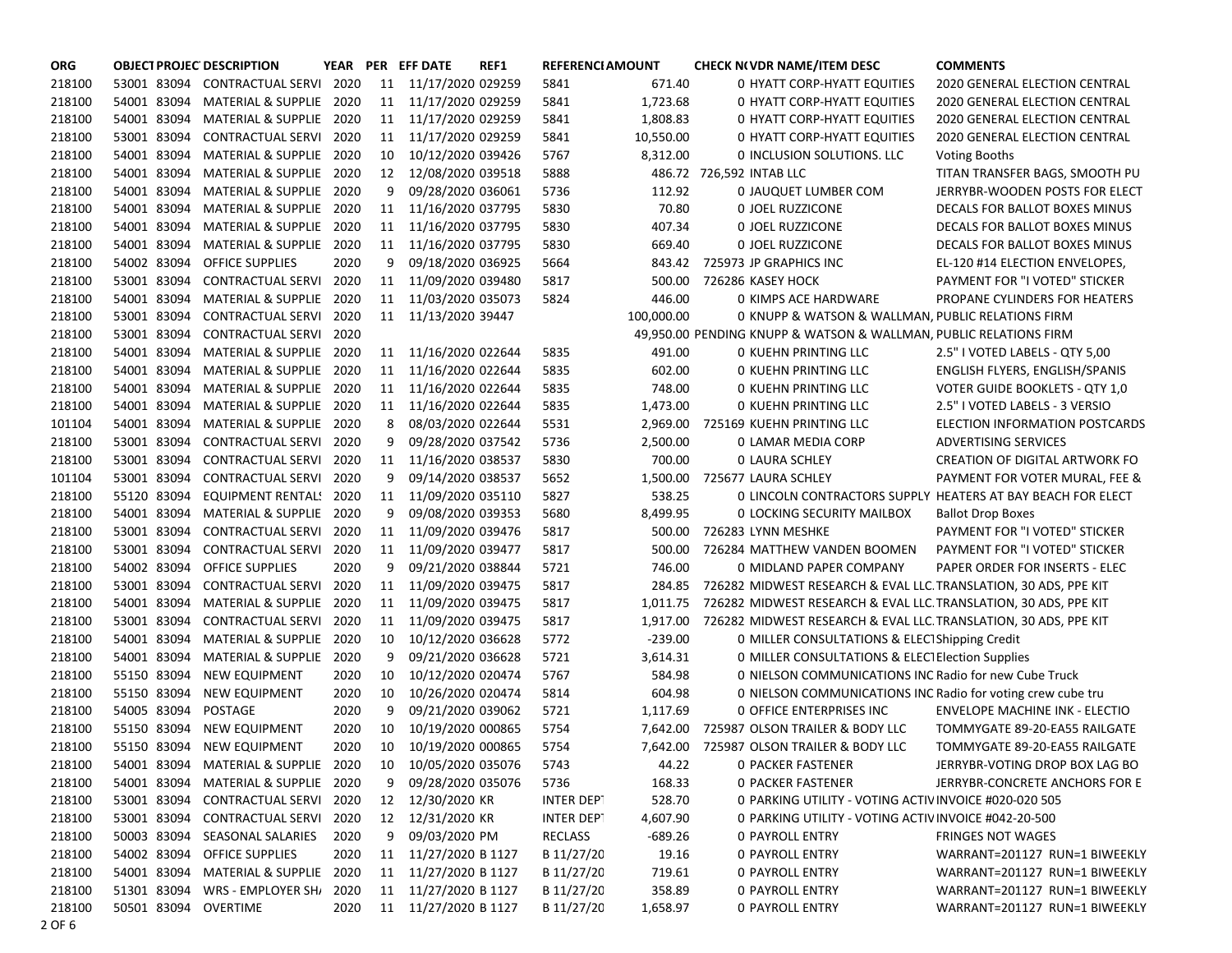| <b>ORG</b> |             | <b>OBJECT PROJEC DESCRIPTION</b> |      |    | YEAR PER EFF DATE    | REF1 | <b>REFERENCI AMOUNT</b> |            | <b>CHECK NO VDR NAME/ITEM DESC</b>                                | <b>COMMENTS</b>                                             |
|------------|-------------|----------------------------------|------|----|----------------------|------|-------------------------|------------|-------------------------------------------------------------------|-------------------------------------------------------------|
| 218100     | 53001 83094 | CONTRACTUAL SERVI                | 2020 | 11 | 11/17/2020 029259    |      | 5841                    | 671.40     | 0 HYATT CORP-HYATT EQUITIES                                       | <b>2020 GENERAL ELECTION CENTRAL</b>                        |
| 218100     | 54001 83094 | <b>MATERIAL &amp; SUPPLIE</b>    | 2020 | 11 | 11/17/2020 029259    |      | 5841                    | 1,723.68   | <b>0 HYATT CORP-HYATT EQUITIES</b>                                | <b>2020 GENERAL ELECTION CENTRAL</b>                        |
| 218100     | 54001 83094 | <b>MATERIAL &amp; SUPPLIE</b>    | 2020 | 11 | 11/17/2020 029259    |      | 5841                    | 1,808.83   | 0 HYATT CORP-HYATT EQUITIES                                       | 2020 GENERAL ELECTION CENTRAL                               |
| 218100     | 53001 83094 | <b>CONTRACTUAL SERVI</b>         | 2020 | 11 | 11/17/2020 029259    |      | 5841                    | 10,550.00  | 0 HYATT CORP-HYATT EQUITIES                                       | 2020 GENERAL ELECTION CENTRAL                               |
| 218100     | 54001 83094 | <b>MATERIAL &amp; SUPPLIE</b>    | 2020 | 10 | 10/12/2020 039426    |      | 5767                    | 8,312.00   | 0 INCLUSION SOLUTIONS. LLC                                        | <b>Voting Booths</b>                                        |
| 218100     | 54001 83094 | <b>MATERIAL &amp; SUPPLIE</b>    | 2020 | 12 | 12/08/2020 039518    |      | 5888                    |            | 486.72 726,592 INTAB LLC                                          | TITAN TRANSFER BAGS, SMOOTH PU                              |
| 218100     | 54001 83094 | <b>MATERIAL &amp; SUPPLIE</b>    | 2020 | 9  | 09/28/2020 036061    |      | 5736                    | 112.92     | 0 JAUQUET LUMBER COM                                              | JERRYBR-WOODEN POSTS FOR ELECT                              |
| 218100     | 54001 83094 | <b>MATERIAL &amp; SUPPLIE</b>    | 2020 | 11 | 11/16/2020 037795    |      | 5830                    | 70.80      | 0 JOEL RUZZICONE                                                  | DECALS FOR BALLOT BOXES MINUS                               |
| 218100     | 54001 83094 | <b>MATERIAL &amp; SUPPLIE</b>    | 2020 | 11 | 11/16/2020 037795    |      | 5830                    | 407.34     | 0 JOEL RUZZICONE                                                  | DECALS FOR BALLOT BOXES MINUS                               |
| 218100     | 54001 83094 | <b>MATERIAL &amp; SUPPLIE</b>    | 2020 | 11 | 11/16/2020 037795    |      | 5830                    | 669.40     | 0 JOEL RUZZICONE                                                  | DECALS FOR BALLOT BOXES MINUS                               |
| 218100     | 54002 83094 | <b>OFFICE SUPPLIES</b>           | 2020 | 9  | 09/18/2020 036925    |      | 5664                    | 843.42     | 725973 JP GRAPHICS INC                                            | EL-120 #14 ELECTION ENVELOPES,                              |
| 218100     | 53001 83094 | <b>CONTRACTUAL SERVI</b>         | 2020 | 11 | 11/09/2020 039480    |      | 5817                    | 500.00     | 726286 KASEY HOCK                                                 | PAYMENT FOR "I VOTED" STICKER                               |
| 218100     | 54001 83094 | <b>MATERIAL &amp; SUPPLIE</b>    | 2020 | 11 | 11/03/2020 035073    |      | 5824                    | 446.00     | 0 KIMPS ACE HARDWARE                                              | PROPANE CYLINDERS FOR HEATERS                               |
| 218100     | 53001 83094 | CONTRACTUAL SERVI                | 2020 | 11 | 11/13/2020 39447     |      |                         | 100,000.00 | 0 KNUPP & WATSON & WALLMAN, PUBLIC RELATIONS FIRM                 |                                                             |
| 218100     | 53001 83094 | CONTRACTUAL SERVI                | 2020 |    |                      |      |                         |            | 49,950.00 PENDING KNUPP & WATSON & WALLMAN, PUBLIC RELATIONS FIRM |                                                             |
| 218100     | 54001 83094 | MATERIAL & SUPPLIE               | 2020 | 11 | 11/16/2020 022644    |      | 5835                    | 491.00     | <b>0 KUEHN PRINTING LLC</b>                                       | 2.5" I VOTED LABELS - QTY 5,00                              |
| 218100     | 54001 83094 | <b>MATERIAL &amp; SUPPLIE</b>    | 2020 | 11 | 11/16/2020 022644    |      | 5835                    | 602.00     | <b>0 KUEHN PRINTING LLC</b>                                       | ENGLISH FLYERS, ENGLISH/SPANIS                              |
| 218100     | 54001 83094 | MATERIAL & SUPPLIE               | 2020 | 11 | 11/16/2020 022644    |      | 5835                    | 748.00     | <b>0 KUEHN PRINTING LLC</b>                                       | VOTER GUIDE BOOKLETS - QTY 1,0                              |
| 218100     | 54001 83094 | <b>MATERIAL &amp; SUPPLIE</b>    | 2020 | 11 | 11/16/2020 022644    |      | 5835                    | 1,473.00   | <b>0 KUEHN PRINTING LLC</b>                                       | 2.5" I VOTED LABELS - 3 VERSIO                              |
| 101104     | 54001 83094 | <b>MATERIAL &amp; SUPPLIE</b>    | 2020 | 8  | 08/03/2020 022644    |      | 5531                    | 2,969.00   | 725169 KUEHN PRINTING LLC                                         | ELECTION INFORMATION POSTCARDS                              |
| 218100     | 53001 83094 | <b>CONTRACTUAL SERVI</b>         | 2020 | 9  | 09/28/2020 037542    |      | 5736                    | 2,500.00   | 0 LAMAR MEDIA CORP                                                | <b>ADVERTISING SERVICES</b>                                 |
| 218100     | 53001 83094 | <b>CONTRACTUAL SERVI</b>         | 2020 | 11 | 11/16/2020 038537    |      | 5830                    | 700.00     | 0 LAURA SCHLEY                                                    | <b>CREATION OF DIGITAL ARTWORK FO</b>                       |
| 101104     | 53001 83094 | <b>CONTRACTUAL SERVI</b>         | 2020 | 9  | 09/14/2020 038537    |      | 5652                    | 1,500.00   | 725677 LAURA SCHLEY                                               | PAYMENT FOR VOTER MURAL, FEE &                              |
| 218100     | 55120 83094 | <b>EQUIPMENT RENTAL!</b>         | 2020 | 11 | 11/09/2020 035110    |      | 5827                    | 538.25     |                                                                   | O LINCOLN CONTRACTORS SUPPLY HEATERS AT BAY BEACH FOR ELECT |
| 218100     | 54001 83094 | <b>MATERIAL &amp; SUPPLIE</b>    | 2020 | 9  | 09/08/2020 039353    |      | 5680                    | 8,499.95   | 0 LOCKING SECURITY MAILBOX                                        | <b>Ballot Drop Boxes</b>                                    |
| 218100     | 53001 83094 | <b>CONTRACTUAL SERVI</b>         | 2020 | 11 | 11/09/2020 039476    |      | 5817                    | 500.00     | 726283 LYNN MESHKE                                                | PAYMENT FOR "I VOTED" STICKER                               |
| 218100     | 53001 83094 | CONTRACTUAL SERVI                | 2020 | 11 | 11/09/2020 039477    |      | 5817                    | 500.00     | 726284 MATTHEW VANDEN BOOMEN                                      | PAYMENT FOR "I VOTED" STICKER                               |
| 218100     | 54002 83094 | OFFICE SUPPLIES                  | 2020 | 9  | 09/21/2020 038844    |      | 5721                    | 746.00     | 0 MIDLAND PAPER COMPANY                                           | PAPER ORDER FOR INSERTS - ELEC                              |
| 218100     | 53001 83094 | CONTRACTUAL SERVI                | 2020 | 11 | 11/09/2020 039475    |      | 5817                    | 284.85     | 726282 MIDWEST RESEARCH & EVAL LLC TRANSLATION, 30 ADS, PPE KIT   |                                                             |
| 218100     | 54001 83094 | <b>MATERIAL &amp; SUPPLIE</b>    | 2020 | 11 | 11/09/2020 039475    |      | 5817                    | 1,011.75   | 726282 MIDWEST RESEARCH & EVAL LLC TRANSLATION, 30 ADS, PPE KIT   |                                                             |
| 218100     | 53001 83094 | <b>CONTRACTUAL SERVI</b>         | 2020 | 11 | 11/09/2020 039475    |      | 5817                    | 1,917.00   | 726282 MIDWEST RESEARCH & EVAL LLC. TRANSLATION, 30 ADS, PPE KIT  |                                                             |
| 218100     | 54001 83094 | <b>MATERIAL &amp; SUPPLIE</b>    | 2020 | 10 | 10/12/2020 036628    |      | 5772                    | $-239.00$  | 0 MILLER CONSULTATIONS & ELEC1Shipping Credit                     |                                                             |
| 218100     | 54001 83094 | MATERIAL & SUPPLIE               | 2020 | 9  | 09/21/2020 036628    |      | 5721                    | 3,614.31   | 0 MILLER CONSULTATIONS & ELECTElection Supplies                   |                                                             |
| 218100     | 55150 83094 | <b>NEW EQUIPMENT</b>             | 2020 | 10 | 10/12/2020 020474    |      | 5767                    | 584.98     | 0 NIELSON COMMUNICATIONS INC Radio for new Cube Truck             |                                                             |
| 218100     | 55150 83094 | <b>NEW EQUIPMENT</b>             | 2020 | 10 | 10/26/2020 020474    |      | 5814                    | 604.98     | 0 NIELSON COMMUNICATIONS INC Radio for voting crew cube tru       |                                                             |
| 218100     | 54005 83094 | <b>POSTAGE</b>                   | 2020 | 9  | 09/21/2020 039062    |      | 5721                    | 1,117.69   | <b>0 OFFICE ENTERPRISES INC</b>                                   | <b>ENVELOPE MACHINE INK - ELECTIO</b>                       |
| 218100     | 55150 83094 | <b>NEW EQUIPMENT</b>             | 2020 | 10 | 10/19/2020 000865    |      | 5754                    | 7,642.00   | 725987 OLSON TRAILER & BODY LLC                                   | TOMMYGATE 89-20-EA55 RAILGATE                               |
| 218100     | 55150 83094 | <b>NEW EQUIPMENT</b>             | 2020 | 10 | 10/19/2020 000865    |      | 5754                    |            | 7,642.00 725987 OLSON TRAILER & BODY LLC                          | TOMMYGATE 89-20-EA55 RAILGATE                               |
| 218100     | 54001 83094 | MATERIAL & SUPPLIE 2020          |      | 10 | 10/05/2020 035076    |      | 5743                    | 44.22      | 0 PACKER FASTENER                                                 | JERRYBR-VOTING DROP BOX LAG BO                              |
| 218100     | 54001 83094 | MATERIAL & SUPPLIE 2020          |      | 9  | 09/28/2020 035076    |      | 5736                    | 168.33     | 0 PACKER FASTENER                                                 | JERRYBR-CONCRETE ANCHORS FOR E                              |
| 218100     | 53001 83094 | CONTRACTUAL SERVI                | 2020 | 12 | 12/30/2020 KR        |      | INTER DEPT              | 528.70     | 0 PARKING UTILITY - VOTING ACTIV INVOICE #020-020 505             |                                                             |
| 218100     | 53001 83094 | <b>CONTRACTUAL SERVI</b>         | 2020 | 12 | 12/31/2020 KR        |      | INTER DEPT              | 4,607.90   | 0 PARKING UTILITY - VOTING ACTIVINVOICE #042-20-500               |                                                             |
| 218100     | 50003 83094 | SEASONAL SALARIES                | 2020 | 9  | 09/03/2020 PM        |      | RECLASS                 | $-689.26$  | 0 PAYROLL ENTRY                                                   | <b>FRINGES NOT WAGES</b>                                    |
| 218100     | 54002 83094 | <b>OFFICE SUPPLIES</b>           | 2020 | 11 | 11/27/2020 B 1127    |      | B 11/27/20              | 19.16      | <b>0 PAYROLL ENTRY</b>                                            | WARRANT=201127 RUN=1 BIWEEKLY                               |
| 218100     | 54001 83094 | MATERIAL & SUPPLIE               | 2020 |    | 11 11/27/2020 B 1127 |      | B 11/27/20              | 719.61     | 0 PAYROLL ENTRY                                                   | WARRANT=201127 RUN=1 BIWEEKLY                               |
| 218100     | 51301 83094 | WRS - EMPLOYER SH/               | 2020 | 11 | 11/27/2020 B 1127    |      | B 11/27/20              | 358.89     | <b>0 PAYROLL ENTRY</b>                                            | WARRANT=201127 RUN=1 BIWEEKLY                               |
| 218100     | 50501 83094 | OVERTIME                         | 2020 | 11 | 11/27/2020 B 1127    |      | B 11/27/20              | 1,658.97   | <b>0 PAYROLL ENTRY</b>                                            | WARRANT=201127 RUN=1 BIWEEKLY                               |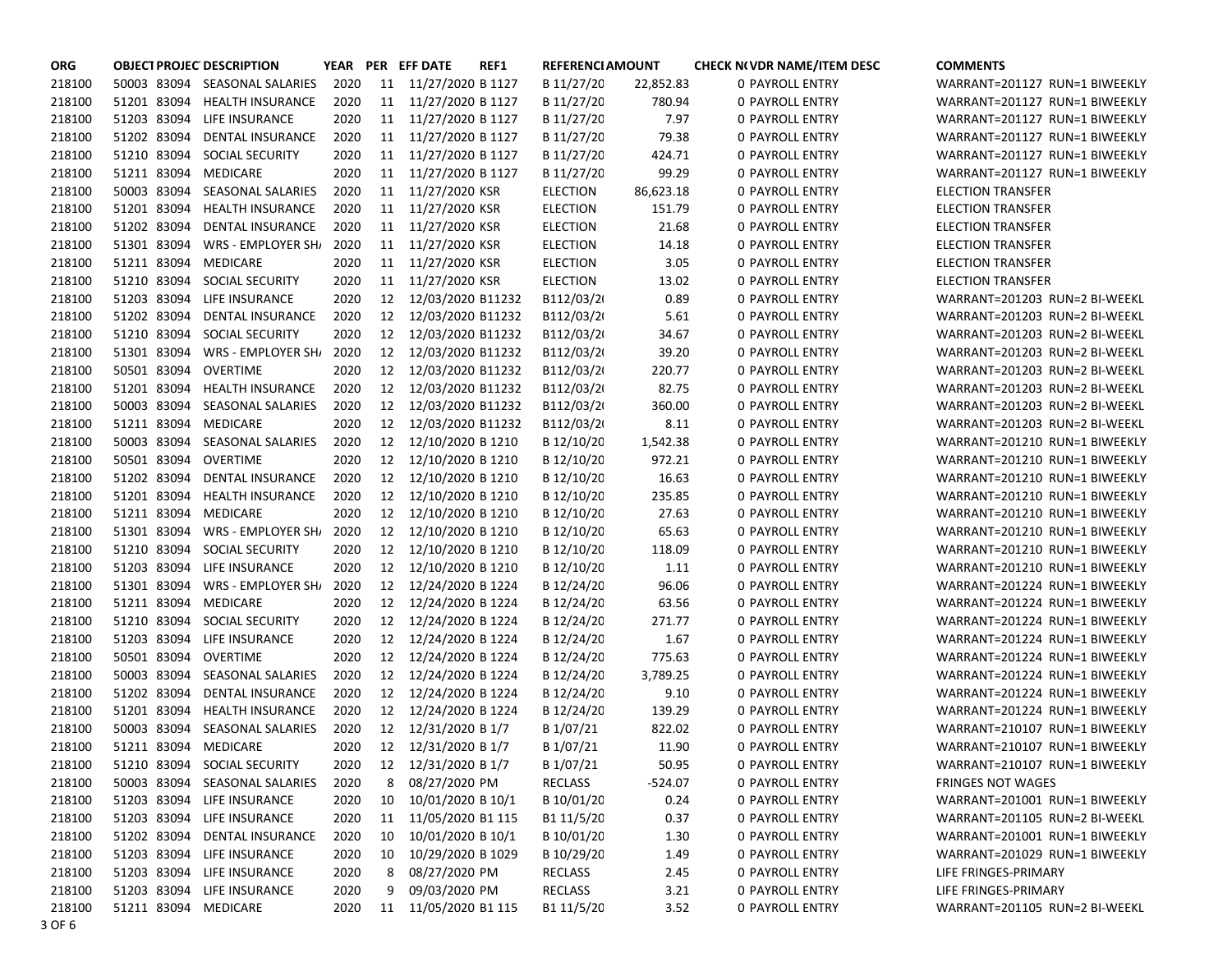| <b>ORG</b> | <b>OBJECT PROJEC DESCRIPTION</b> |                               | YEAR |    | PER EFF DATE         | REF1 | <b>REFERENCI AMOUNT</b> |           | <b>CHECK N(VDR NAME/ITEM DESC)</b> | <b>COMMENTS</b>               |
|------------|----------------------------------|-------------------------------|------|----|----------------------|------|-------------------------|-----------|------------------------------------|-------------------------------|
| 218100     |                                  | 50003 83094 SEASONAL SALARIES | 2020 |    | 11 11/27/2020 B 1127 |      | B 11/27/20              | 22,852.83 | <b>0 PAYROLL ENTRY</b>             | WARRANT=201127 RUN=1 BIWEEKLY |
| 218100     | 51201 83094                      | HEALTH INSURANCE              | 2020 | 11 | 11/27/2020 B 1127    |      | B 11/27/20              | 780.94    | 0 PAYROLL ENTRY                    | WARRANT=201127 RUN=1 BIWEEKLY |
| 218100     |                                  | 51203 83094 LIFE INSURANCE    | 2020 | 11 | 11/27/2020 B 1127    |      | B 11/27/20              | 7.97      | 0 PAYROLL ENTRY                    | WARRANT=201127 RUN=1 BIWEEKLY |
| 218100     | 51202 83094                      | DENTAL INSURANCE              | 2020 | 11 | 11/27/2020 B 1127    |      | B 11/27/20              | 79.38     | 0 PAYROLL ENTRY                    | WARRANT=201127 RUN=1 BIWEEKLY |
| 218100     | 51210 83094                      | SOCIAL SECURITY               | 2020 | 11 | 11/27/2020 B 1127    |      | B 11/27/20              | 424.71    | 0 PAYROLL ENTRY                    | WARRANT=201127 RUN=1 BIWEEKLY |
| 218100     | 51211 83094                      | MEDICARE                      | 2020 | 11 | 11/27/2020 B 1127    |      | B 11/27/20              | 99.29     | <b>0 PAYROLL ENTRY</b>             | WARRANT=201127 RUN=1 BIWEEKLY |
| 218100     | 50003 83094                      | SEASONAL SALARIES             | 2020 | 11 | 11/27/2020 KSR       |      | <b>ELECTION</b>         | 86,623.18 | 0 PAYROLL ENTRY                    | <b>ELECTION TRANSFER</b>      |
| 218100     | 51201 83094                      | <b>HEALTH INSURANCE</b>       | 2020 | 11 | 11/27/2020 KSR       |      | <b>ELECTION</b>         | 151.79    | 0 PAYROLL ENTRY                    | <b>ELECTION TRANSFER</b>      |
| 218100     | 51202 83094                      | <b>DENTAL INSURANCE</b>       | 2020 | 11 | 11/27/2020 KSR       |      | <b>ELECTION</b>         | 21.68     | 0 PAYROLL ENTRY                    | <b>ELECTION TRANSFER</b>      |
| 218100     | 51301 83094                      | WRS - EMPLOYER SH             | 2020 | 11 | 11/27/2020 KSR       |      | <b>ELECTION</b>         | 14.18     | <b>0 PAYROLL ENTRY</b>             | <b>ELECTION TRANSFER</b>      |
| 218100     | 51211 83094                      | MEDICARE                      | 2020 | 11 | 11/27/2020 KSR       |      | <b>ELECTION</b>         | 3.05      | 0 PAYROLL ENTRY                    | <b>ELECTION TRANSFER</b>      |
| 218100     | 51210 83094                      | SOCIAL SECURITY               | 2020 | 11 | 11/27/2020 KSR       |      | <b>ELECTION</b>         | 13.02     | 0 PAYROLL ENTRY                    | <b>ELECTION TRANSFER</b>      |
| 218100     | 51203 83094                      | LIFE INSURANCE                | 2020 | 12 | 12/03/2020 B11232    |      | B112/03/2               | 0.89      | 0 PAYROLL ENTRY                    | WARRANT=201203 RUN=2 BI-WEEKL |
| 218100     | 51202 83094                      | DENTAL INSURANCE              | 2020 | 12 | 12/03/2020 B11232    |      | B112/03/2               | 5.61      | 0 PAYROLL ENTRY                    | WARRANT=201203 RUN=2 BI-WEEKL |
| 218100     | 51210 83094                      | SOCIAL SECURITY               | 2020 | 12 | 12/03/2020 B11232    |      | B112/03/2               | 34.67     | 0 PAYROLL ENTRY                    | WARRANT=201203 RUN=2 BI-WEEKL |
| 218100     | 51301 83094                      | WRS - EMPLOYER SH             | 2020 | 12 | 12/03/2020 B11232    |      | B112/03/2               | 39.20     | 0 PAYROLL ENTRY                    | WARRANT=201203 RUN=2 BI-WEEKL |
| 218100     | 50501 83094                      | OVERTIME                      | 2020 | 12 | 12/03/2020 B11232    |      | B112/03/2               | 220.77    | <b>0 PAYROLL ENTRY</b>             | WARRANT=201203 RUN=2 BI-WEEKL |
| 218100     | 51201 83094                      | <b>HEALTH INSURANCE</b>       | 2020 | 12 | 12/03/2020 B11232    |      | B112/03/2               | 82.75     | 0 PAYROLL ENTRY                    | WARRANT=201203 RUN=2 BI-WEEKL |
| 218100     | 50003 83094                      | SEASONAL SALARIES             | 2020 | 12 | 12/03/2020 B11232    |      | B112/03/2               | 360.00    | 0 PAYROLL ENTRY                    | WARRANT=201203 RUN=2 BI-WEEKL |
| 218100     | 51211 83094                      | MEDICARE                      | 2020 | 12 | 12/03/2020 B11232    |      | B112/03/2               | 8.11      | 0 PAYROLL ENTRY                    | WARRANT=201203 RUN=2 BI-WEEKL |
| 218100     | 50003 83094                      | SEASONAL SALARIES             | 2020 | 12 | 12/10/2020 B 1210    |      | B 12/10/20              | 1,542.38  | 0 PAYROLL ENTRY                    | WARRANT=201210 RUN=1 BIWEEKLY |
| 218100     | 50501 83094 OVERTIME             |                               | 2020 | 12 | 12/10/2020 B 1210    |      | B 12/10/20              | 972.21    | 0 PAYROLL ENTRY                    | WARRANT=201210 RUN=1 BIWEEKLY |
| 218100     | 51202 83094                      | DENTAL INSURANCE              | 2020 | 12 | 12/10/2020 B 1210    |      | B 12/10/20              | 16.63     | 0 PAYROLL ENTRY                    | WARRANT=201210 RUN=1 BIWEEKLY |
| 218100     | 51201 83094                      | <b>HEALTH INSURANCE</b>       | 2020 | 12 | 12/10/2020 B 1210    |      | B 12/10/20              | 235.85    | 0 PAYROLL ENTRY                    | WARRANT=201210 RUN=1 BIWEEKLY |
| 218100     | 51211 83094                      | MEDICARE                      | 2020 | 12 | 12/10/2020 B 1210    |      | B 12/10/20              | 27.63     | 0 PAYROLL ENTRY                    | WARRANT=201210 RUN=1 BIWEEKLY |
| 218100     | 51301 83094                      | WRS - EMPLOYER SH/            | 2020 | 12 | 12/10/2020 B 1210    |      | B 12/10/20              | 65.63     | 0 PAYROLL ENTRY                    | WARRANT=201210 RUN=1 BIWEEKLY |
| 218100     | 51210 83094                      | SOCIAL SECURITY               | 2020 | 12 | 12/10/2020 B 1210    |      | B 12/10/20              | 118.09    | 0 PAYROLL ENTRY                    | WARRANT=201210 RUN=1 BIWEEKLY |
| 218100     | 51203 83094                      | LIFE INSURANCE                | 2020 | 12 | 12/10/2020 B 1210    |      | B 12/10/20              | 1.11      | 0 PAYROLL ENTRY                    | WARRANT=201210 RUN=1 BIWEEKLY |
| 218100     | 51301 83094                      | WRS - EMPLOYER SH/            | 2020 | 12 | 12/24/2020 B 1224    |      | B 12/24/20              | 96.06     | 0 PAYROLL ENTRY                    | WARRANT=201224 RUN=1 BIWEEKLY |
| 218100     | 51211 83094                      | MEDICARE                      | 2020 | 12 | 12/24/2020 B 1224    |      | B 12/24/20              | 63.56     | 0 PAYROLL ENTRY                    | WARRANT=201224 RUN=1 BIWEEKLY |
| 218100     | 51210 83094                      | <b>SOCIAL SECURITY</b>        | 2020 | 12 | 12/24/2020 B 1224    |      | B 12/24/20              | 271.77    | <b>0 PAYROLL ENTRY</b>             | WARRANT=201224 RUN=1 BIWEEKLY |
| 218100     | 51203 83094                      | LIFE INSURANCE                | 2020 | 12 | 12/24/2020 B 1224    |      | B 12/24/20              | 1.67      | 0 PAYROLL ENTRY                    | WARRANT=201224 RUN=1 BIWEEKLY |
| 218100     | 50501 83094                      | OVERTIME                      | 2020 | 12 | 12/24/2020 B 1224    |      | B 12/24/20              | 775.63    | 0 PAYROLL ENTRY                    | WARRANT=201224 RUN=1 BIWEEKLY |
| 218100     | 50003 83094                      | SEASONAL SALARIES             | 2020 | 12 | 12/24/2020 B 1224    |      | B 12/24/20              | 3,789.25  | <b>0 PAYROLL ENTRY</b>             | WARRANT=201224 RUN=1 BIWEEKLY |
| 218100     | 51202 83094                      | <b>DENTAL INSURANCE</b>       | 2020 | 12 | 12/24/2020 B 1224    |      | B 12/24/20              | 9.10      | <b>0 PAYROLL ENTRY</b>             | WARRANT=201224 RUN=1 BIWEEKLY |
| 218100     | 51201 83094                      | <b>HEALTH INSURANCE</b>       | 2020 | 12 | 12/24/2020 B 1224    |      | B 12/24/20              | 139.29    | 0 PAYROLL ENTRY                    | WARRANT=201224 RUN=1 BIWEEKLY |
| 218100     | 50003 83094                      | <b>SEASONAL SALARIES</b>      | 2020 | 12 | 12/31/2020 B 1/7     |      | B 1/07/21               | 822.02    | 0 PAYROLL ENTRY                    | WARRANT=210107 RUN=1 BIWEEKLY |
| 218100     | 51211 83094 MEDICARE             |                               | 2020 |    | 12 12/31/2020 B 1/7  |      | B 1/07/21               | 11.90     | <b>0 PAYROLL ENTRY</b>             | WARRANT=210107 RUN=1 BIWEEKLY |
| 218100     |                                  | 51210 83094 SOCIAL SECURITY   | 2020 |    | 12 12/31/2020 B 1/7  |      | B 1/07/21               | 50.95     | 0 PAYROLL ENTRY                    | WARRANT=210107 RUN=1 BIWEEKLY |
| 218100     |                                  | 50003 83094 SEASONAL SALARIES | 2020 | 8  | 08/27/2020 PM        |      | <b>RECLASS</b>          | $-524.07$ | 0 PAYROLL ENTRY                    | <b>FRINGES NOT WAGES</b>      |
| 218100     |                                  | 51203 83094 LIFE INSURANCE    | 2020 | 10 | 10/01/2020 B 10/1    |      | B 10/01/20              | 0.24      | 0 PAYROLL ENTRY                    | WARRANT=201001 RUN=1 BIWEEKLY |
| 218100     |                                  | 51203 83094 LIFE INSURANCE    | 2020 | 11 | 11/05/2020 B1 115    |      | B1 11/5/20              | 0.37      | 0 PAYROLL ENTRY                    | WARRANT=201105 RUN=2 BI-WEEKL |
| 218100     | 51202 83094                      | DENTAL INSURANCE              | 2020 | 10 | 10/01/2020 B 10/1    |      | B 10/01/20              | 1.30      | <b>0 PAYROLL ENTRY</b>             | WARRANT=201001 RUN=1 BIWEEKLY |
| 218100     |                                  | 51203 83094 LIFE INSURANCE    | 2020 | 10 | 10/29/2020 B 1029    |      | B 10/29/20              | 1.49      | <b>0 PAYROLL ENTRY</b>             | WARRANT=201029 RUN=1 BIWEEKLY |
| 218100     |                                  | 51203 83094 LIFE INSURANCE    | 2020 | 8  | 08/27/2020 PM        |      | <b>RECLASS</b>          | 2.45      | 0 PAYROLL ENTRY                    | LIFE FRINGES-PRIMARY          |
| 218100     |                                  | 51203 83094 LIFE INSURANCE    | 2020 | 9  | 09/03/2020 PM        |      | RECLASS                 | 3.21      | 0 PAYROLL ENTRY                    | LIFE FRINGES-PRIMARY          |
| 218100     | 51211 83094 MEDICARE             |                               | 2020 | 11 | 11/05/2020 B1 115    |      | B1 11/5/20              | 3.52      | 0 PAYROLL ENTRY                    | WARRANT=201105 RUN=2 BI-WEEKL |
| 3 OF 6     |                                  |                               |      |    |                      |      |                         |           |                                    |                               |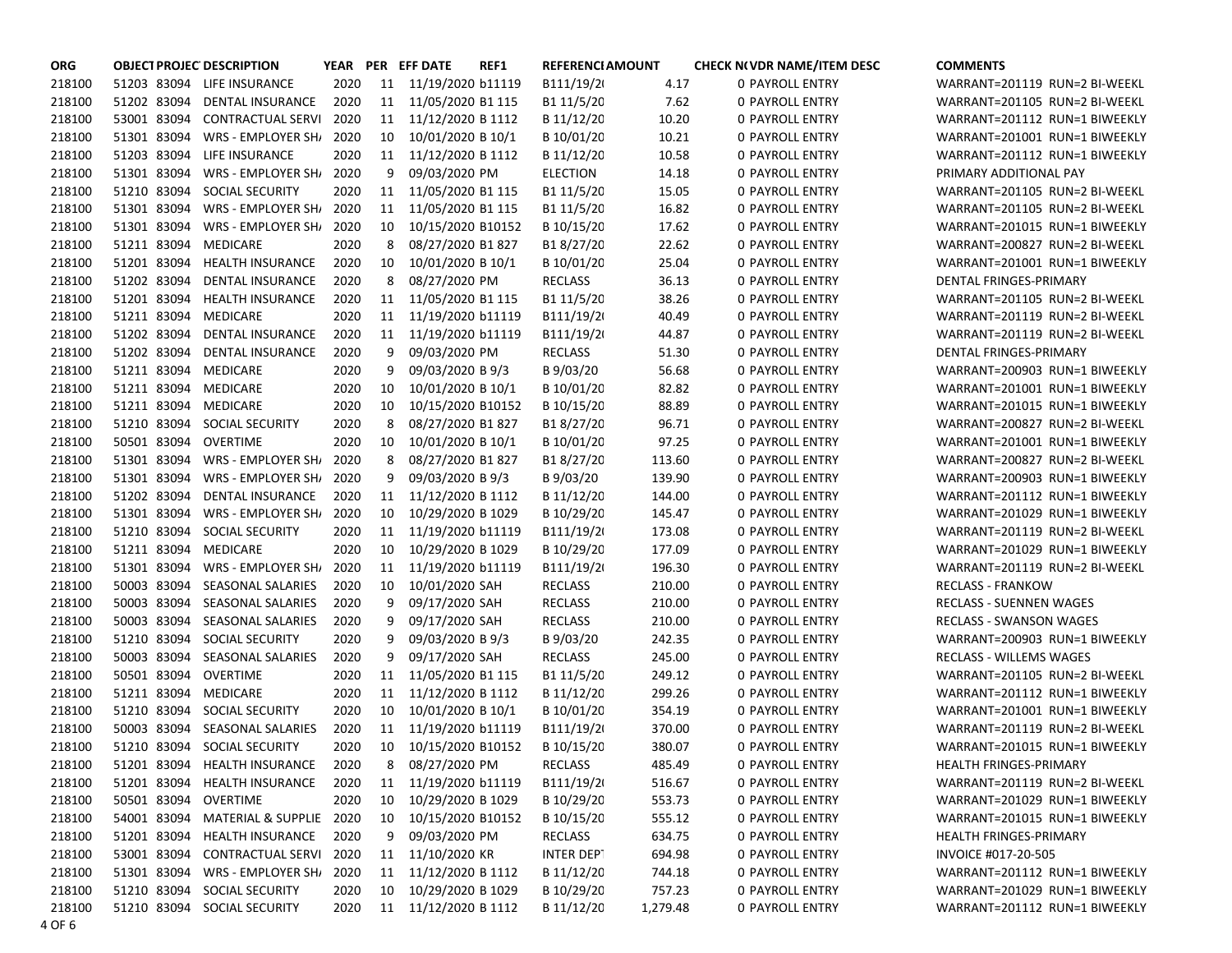| <b>ORG</b> | <b>OBJECT PROJEC DESCRIPTION</b> |                                |      |    | YEAR PER EFF DATE    | REF1 | <b>REFERENCI AMOUNT</b> |          | <b>CHECK N(VDR NAME/ITEM DESC)</b> | <b>COMMENTS</b>                |
|------------|----------------------------------|--------------------------------|------|----|----------------------|------|-------------------------|----------|------------------------------------|--------------------------------|
| 218100     |                                  | 51203 83094 LIFE INSURANCE     | 2020 | 11 | 11/19/2020 b11119    |      | B111/19/2               | 4.17     | <b>0 PAYROLL ENTRY</b>             | WARRANT=201119 RUN=2 BI-WEEKL  |
| 218100     |                                  | 51202 83094 DENTAL INSURANCE   | 2020 | 11 | 11/05/2020 B1 115    |      | B1 11/5/20              | 7.62     | <b>0 PAYROLL ENTRY</b>             | WARRANT=201105 RUN=2 BI-WEEKL  |
| 218100     |                                  | 53001 83094 CONTRACTUAL SERVI  | 2020 | 11 | 11/12/2020 B 1112    |      | B 11/12/20              | 10.20    | 0 PAYROLL ENTRY                    | WARRANT=201112 RUN=1 BIWEEKLY  |
| 218100     |                                  | 51301 83094 WRS - EMPLOYER SH  | 2020 | 10 | 10/01/2020 B 10/1    |      | B 10/01/20              | 10.21    | 0 PAYROLL ENTRY                    | WARRANT=201001 RUN=1 BIWEEKLY  |
| 218100     |                                  | 51203 83094 LIFE INSURANCE     | 2020 | 11 | 11/12/2020 B 1112    |      | B 11/12/20              | 10.58    | 0 PAYROLL ENTRY                    | WARRANT=201112 RUN=1 BIWEEKLY  |
| 218100     | 51301 83094                      | <b>WRS - EMPLOYER SH/</b>      | 2020 | 9  | 09/03/2020 PM        |      | <b>ELECTION</b>         | 14.18    | 0 PAYROLL ENTRY                    | PRIMARY ADDITIONAL PAY         |
| 218100     | 51210 83094                      | SOCIAL SECURITY                | 2020 | 11 | 11/05/2020 B1 115    |      | B1 11/5/20              | 15.05    | 0 PAYROLL ENTRY                    | WARRANT=201105 RUN=2 BI-WEEKL  |
| 218100     | 51301 83094                      | WRS - EMPLOYER SH              | 2020 | 11 | 11/05/2020 B1 115    |      | B1 11/5/20              | 16.82    | 0 PAYROLL ENTRY                    | WARRANT=201105 RUN=2 BI-WEEKL  |
| 218100     | 51301 83094                      | WRS - EMPLOYER SH              | 2020 | 10 | 10/15/2020 B10152    |      | B 10/15/20              | 17.62    | <b>0 PAYROLL ENTRY</b>             | WARRANT=201015 RUN=1 BIWEEKLY  |
| 218100     | 51211 83094 MEDICARE             |                                | 2020 | 8  | 08/27/2020 B1 827    |      | B18/27/20               | 22.62    | <b>0 PAYROLL ENTRY</b>             | WARRANT=200827 RUN=2 BI-WEEKL  |
| 218100     | 51201 83094                      | <b>HEALTH INSURANCE</b>        | 2020 | 10 | 10/01/2020 B 10/1    |      | B 10/01/20              | 25.04    | 0 PAYROLL ENTRY                    | WARRANT=201001 RUN=1 BIWEEKLY  |
| 218100     | 51202 83094                      | DENTAL INSURANCE               | 2020 | 8  | 08/27/2020 PM        |      | <b>RECLASS</b>          | 36.13    | 0 PAYROLL ENTRY                    | DENTAL FRINGES-PRIMARY         |
| 218100     | 51201 83094                      | HEALTH INSURANCE               | 2020 | 11 | 11/05/2020 B1 115    |      | B1 11/5/20              | 38.26    | <b>0 PAYROLL ENTRY</b>             | WARRANT=201105 RUN=2 BI-WEEKL  |
| 218100     | 51211 83094 MEDICARE             |                                | 2020 | 11 | 11/19/2020 b11119    |      | B111/19/2               | 40.49    | 0 PAYROLL ENTRY                    | WARRANT=201119 RUN=2 BI-WEEKL  |
| 218100     | 51202 83094                      | DENTAL INSURANCE               | 2020 | 11 | 11/19/2020 b11119    |      | B111/19/2               | 44.87    | 0 PAYROLL ENTRY                    | WARRANT=201119 RUN=2 BI-WEEKL  |
| 218100     | 51202 83094                      | DENTAL INSURANCE               | 2020 | 9  | 09/03/2020 PM        |      | <b>RECLASS</b>          | 51.30    | <b>0 PAYROLL ENTRY</b>             | DENTAL FRINGES-PRIMARY         |
| 218100     | 51211 83094 MEDICARE             |                                | 2020 | 9  | 09/03/2020 B 9/3     |      | B 9/03/20               | 56.68    | <b>0 PAYROLL ENTRY</b>             | WARRANT=200903 RUN=1 BIWEEKLY  |
| 218100     | 51211 83094 MEDICARE             |                                | 2020 | 10 | 10/01/2020 B 10/1    |      | B 10/01/20              | 82.82    | <b>0 PAYROLL ENTRY</b>             | WARRANT=201001 RUN=1 BIWEEKLY  |
| 218100     | 51211 83094 MEDICARE             |                                | 2020 | 10 | 10/15/2020 B10152    |      | B 10/15/20              | 88.89    | <b>0 PAYROLL ENTRY</b>             | WARRANT=201015 RUN=1 BIWEEKLY  |
| 218100     |                                  | 51210 83094 SOCIAL SECURITY    | 2020 | 8  | 08/27/2020 B1 827    |      | B18/27/20               | 96.71    | <b>0 PAYROLL ENTRY</b>             | WARRANT=200827 RUN=2 BI-WEEKL  |
| 218100     | 50501 83094 OVERTIME             |                                | 2020 | 10 | 10/01/2020 B 10/1    |      | B 10/01/20              | 97.25    | 0 PAYROLL ENTRY                    | WARRANT=201001 RUN=1 BIWEEKLY  |
| 218100     |                                  | 51301 83094 WRS - EMPLOYER SH  | 2020 | 8  | 08/27/2020 B1 827    |      | B18/27/20               | 113.60   | <b>0 PAYROLL ENTRY</b>             | WARRANT=200827 RUN=2 BI-WEEKL  |
| 218100     | 51301 83094                      | <b>WRS - EMPLOYER SHI</b>      | 2020 | 9  | 09/03/2020 B 9/3     |      | B 9/03/20               | 139.90   | 0 PAYROLL ENTRY                    | WARRANT=200903 RUN=1 BIWEEKLY  |
| 218100     | 51202 83094                      | DENTAL INSURANCE               | 2020 | 11 | 11/12/2020 B 1112    |      | B 11/12/20              | 144.00   | <b>0 PAYROLL ENTRY</b>             | WARRANT=201112 RUN=1 BIWEEKLY  |
| 218100     | 51301 83094                      | WRS - EMPLOYER SH              | 2020 | 10 | 10/29/2020 B 1029    |      | B 10/29/20              | 145.47   | <b>0 PAYROLL ENTRY</b>             | WARRANT=201029 RUN=1 BIWEEKLY  |
| 218100     |                                  | 51210 83094 SOCIAL SECURITY    | 2020 | 11 | 11/19/2020 b11119    |      | B111/19/2               | 173.08   | <b>0 PAYROLL ENTRY</b>             | WARRANT=201119 RUN=2 BI-WEEKL  |
| 218100     | 51211 83094 MEDICARE             |                                | 2020 | 10 | 10/29/2020 B 1029    |      | B 10/29/20              | 177.09   | <b>0 PAYROLL ENTRY</b>             | WARRANT=201029 RUN=1 BIWEEKLY  |
| 218100     | 51301 83094                      | WRS - EMPLOYER SH              | 2020 | 11 | 11/19/2020 b11119    |      | B111/19/2               | 196.30   | <b>0 PAYROLL ENTRY</b>             | WARRANT=201119 RUN=2 BI-WEEKL  |
| 218100     | 50003 83094                      | SEASONAL SALARIES              | 2020 | 10 | 10/01/2020 SAH       |      | <b>RECLASS</b>          | 210.00   | <b>0 PAYROLL ENTRY</b>             | <b>RECLASS - FRANKOW</b>       |
| 218100     | 50003 83094                      | SEASONAL SALARIES              | 2020 | 9  | 09/17/2020 SAH       |      | <b>RECLASS</b>          | 210.00   | <b>0 PAYROLL ENTRY</b>             | <b>RECLASS - SUENNEN WAGES</b> |
| 218100     | 50003 83094                      | SEASONAL SALARIES              | 2020 | 9  | 09/17/2020 SAH       |      | <b>RECLASS</b>          | 210.00   | <b>0 PAYROLL ENTRY</b>             | <b>RECLASS - SWANSON WAGES</b> |
| 218100     | 51210 83094                      | SOCIAL SECURITY                | 2020 | 9  | 09/03/2020 B 9/3     |      | B 9/03/20               | 242.35   | <b>0 PAYROLL ENTRY</b>             | WARRANT=200903 RUN=1 BIWEEKLY  |
| 218100     | 50003 83094                      | SEASONAL SALARIES              | 2020 | 9  | 09/17/2020 SAH       |      | <b>RECLASS</b>          | 245.00   | <b>0 PAYROLL ENTRY</b>             | RECLASS - WILLEMS WAGES        |
| 218100     | 50501 83094 OVERTIME             |                                | 2020 | 11 | 11/05/2020 B1 115    |      | B1 11/5/20              | 249.12   | 0 PAYROLL ENTRY                    | WARRANT=201105 RUN=2 BI-WEEKL  |
| 218100     | 51211 83094 MEDICARE             |                                | 2020 | 11 | 11/12/2020 B 1112    |      | B 11/12/20              | 299.26   | <b>0 PAYROLL ENTRY</b>             | WARRANT=201112 RUN=1 BIWEEKLY  |
| 218100     | 51210 83094                      | SOCIAL SECURITY                | 2020 | 10 | 10/01/2020 B 10/1    |      | B 10/01/20              | 354.19   | 0 PAYROLL ENTRY                    | WARRANT=201001 RUN=1 BIWEEKLY  |
| 218100     | 50003 83094                      | SEASONAL SALARIES              | 2020 | 11 | 11/19/2020 b11119    |      | B111/19/2               | 370.00   | 0 PAYROLL ENTRY                    | WARRANT=201119 RUN=2 BI-WEEKL  |
| 218100     |                                  | 51210 83094 SOCIAL SECURITY    | 2020 | 10 | 10/15/2020 B10152    |      | B 10/15/20              | 380.07   | <b>0 PAYROLL ENTRY</b>             | WARRANT=201015 RUN=1 BIWEEKLY  |
| 218100     |                                  | 51201 83094 HEALTH INSURANCE   | 2020 | 8  | 08/27/2020 PM        |      | <b>RECLASS</b>          | 485.49   | <b>0 PAYROLL ENTRY</b>             | HEALTH FRINGES-PRIMARY         |
| 218100     |                                  | 51201 83094 HEALTH INSURANCE   | 2020 | 11 | 11/19/2020 b11119    |      | B111/19/2               | 516.67   | 0 PAYROLL ENTRY                    | WARRANT=201119 RUN=2 BI-WEEKL  |
| 218100     | 50501 83094 OVERTIME             |                                | 2020 | 10 | 10/29/2020 B 1029    |      | B 10/29/20              | 553.73   | <b>0 PAYROLL ENTRY</b>             | WARRANT=201029 RUN=1 BIWEEKLY  |
| 218100     |                                  | 54001 83094 MATERIAL & SUPPLIE | 2020 | 10 | 10/15/2020 B10152    |      | B 10/15/20              | 555.12   | <b>0 PAYROLL ENTRY</b>             | WARRANT=201015 RUN=1 BIWEEKLY  |
| 218100     |                                  | 51201 83094 HEALTH INSURANCE   | 2020 | 9  | 09/03/2020 PM        |      | <b>RECLASS</b>          | 634.75   | <b>0 PAYROLL ENTRY</b>             | HEALTH FRINGES-PRIMARY         |
| 218100     |                                  | 53001 83094 CONTRACTUAL SERVI  | 2020 | 11 | 11/10/2020 KR        |      | INTER DEPT              | 694.98   | <b>0 PAYROLL ENTRY</b>             | INVOICE #017-20-505            |
| 218100     |                                  | 51301 83094 WRS - EMPLOYER SH  | 2020 | 11 | 11/12/2020 B 1112    |      | B 11/12/20              | 744.18   | <b>0 PAYROLL ENTRY</b>             | WARRANT=201112 RUN=1 BIWEEKLY  |
| 218100     |                                  | 51210 83094 SOCIAL SECURITY    | 2020 | 10 | 10/29/2020 B 1029    |      | B 10/29/20              | 757.23   | 0 PAYROLL ENTRY                    | WARRANT=201029 RUN=1 BIWEEKLY  |
| 218100     |                                  | 51210 83094 SOCIAL SECURITY    | 2020 |    | 11 11/12/2020 B 1112 |      | B 11/12/20              | 1,279.48 | <b>0 PAYROLL ENTRY</b>             | WARRANT=201112 RUN=1 BIWEEKLY  |
| 4 OF 6     |                                  |                                |      |    |                      |      |                         |          |                                    |                                |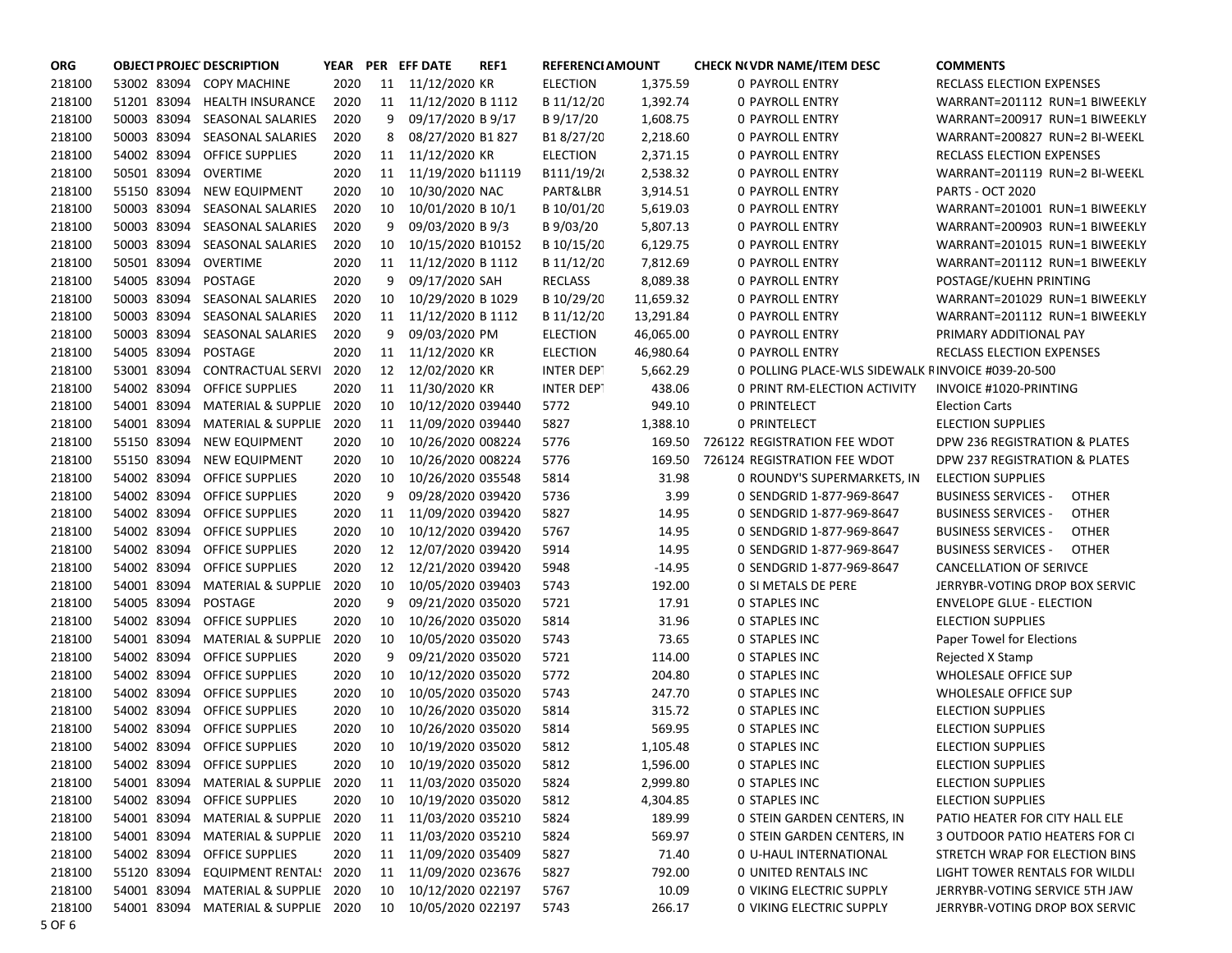| <b>ORG</b> | <b>OBJECT PROJEC DESCRIPTION</b> |                                     |      |    | YEAR PER EFF DATE    | REF1 | <b>REFERENCI AMOUNT</b> |           | <b>CHECK N(VDR NAME/ITEM DESC</b>                 | <b>COMMENTS</b>                            |
|------------|----------------------------------|-------------------------------------|------|----|----------------------|------|-------------------------|-----------|---------------------------------------------------|--------------------------------------------|
| 218100     |                                  | 53002 83094 COPY MACHINE            | 2020 |    | 11 11/12/2020 KR     |      | <b>ELECTION</b>         | 1,375.59  | 0 PAYROLL ENTRY                                   | RECLASS ELECTION EXPENSES                  |
| 218100     |                                  | 51201 83094 HEALTH INSURANCE        | 2020 |    | 11 11/12/2020 B 1112 |      | B 11/12/20              | 1,392.74  | 0 PAYROLL ENTRY                                   | WARRANT=201112 RUN=1 BIWEEKLY              |
| 218100     |                                  | 50003 83094 SEASONAL SALARIES       | 2020 | 9  | 09/17/2020 B 9/17    |      | B 9/17/20               | 1,608.75  | 0 PAYROLL ENTRY                                   | WARRANT=200917 RUN=1 BIWEEKLY              |
| 218100     |                                  | 50003 83094 SEASONAL SALARIES       | 2020 | 8  | 08/27/2020 B1 827    |      | B18/27/20               | 2,218.60  | 0 PAYROLL ENTRY                                   | WARRANT=200827 RUN=2 BI-WEEKL              |
| 218100     |                                  | 54002 83094 OFFICE SUPPLIES         | 2020 | 11 | 11/12/2020 KR        |      | <b>ELECTION</b>         | 2,371.15  | 0 PAYROLL ENTRY                                   | RECLASS ELECTION EXPENSES                  |
| 218100     | 50501 83094                      | OVERTIME                            | 2020 | 11 | 11/19/2020 b11119    |      | B111/19/2               | 2,538.32  | <b>0 PAYROLL ENTRY</b>                            | WARRANT=201119 RUN=2 BI-WEEKL              |
| 218100     | 55150 83094                      | NEW EQUIPMENT                       | 2020 | 10 | 10/30/2020 NAC       |      | PART&LBR                | 3,914.51  | 0 PAYROLL ENTRY                                   | <b>PARTS - OCT 2020</b>                    |
| 218100     | 50003 83094                      | SEASONAL SALARIES                   | 2020 | 10 | 10/01/2020 B 10/1    |      | B 10/01/20              | 5,619.03  | <b>0 PAYROLL ENTRY</b>                            | WARRANT=201001 RUN=1 BIWEEKLY              |
| 218100     | 50003 83094                      | SEASONAL SALARIES                   | 2020 | 9  | 09/03/2020 B 9/3     |      | B 9/03/20               | 5,807.13  | <b>0 PAYROLL ENTRY</b>                            | WARRANT=200903 RUN=1 BIWEEKLY              |
| 218100     | 50003 83094                      | <b>SEASONAL SALARIES</b>            | 2020 | 10 | 10/15/2020 B10152    |      | B 10/15/20              | 6,129.75  | 0 PAYROLL ENTRY                                   | WARRANT=201015 RUN=1 BIWEEKLY              |
| 218100     | 50501 83094 OVERTIME             |                                     | 2020 | 11 | 11/12/2020 B 1112    |      | B 11/12/20              | 7,812.69  | 0 PAYROLL ENTRY                                   | WARRANT=201112 RUN=1 BIWEEKLY              |
| 218100     | 54005 83094                      | POSTAGE                             | 2020 | 9  | 09/17/2020 SAH       |      | RECLASS                 | 8,089.38  | 0 PAYROLL ENTRY                                   | POSTAGE/KUEHN PRINTING                     |
| 218100     | 50003 83094                      | SEASONAL SALARIES                   | 2020 | 10 | 10/29/2020 B 1029    |      | B 10/29/20              | 11,659.32 | 0 PAYROLL ENTRY                                   | WARRANT=201029 RUN=1 BIWEEKLY              |
| 218100     | 50003 83094                      | SEASONAL SALARIES                   | 2020 | 11 | 11/12/2020 B 1112    |      | B 11/12/20              | 13,291.84 | 0 PAYROLL ENTRY                                   | WARRANT=201112 RUN=1 BIWEEKLY              |
| 218100     | 50003 83094                      | <b>SEASONAL SALARIES</b>            | 2020 | 9  | 09/03/2020 PM        |      | <b>ELECTION</b>         | 46,065.00 | 0 PAYROLL ENTRY                                   | PRIMARY ADDITIONAL PAY                     |
| 218100     | 54005 83094                      | <b>POSTAGE</b>                      | 2020 | 11 | 11/12/2020 KR        |      | <b>ELECTION</b>         | 46,980.64 | 0 PAYROLL ENTRY                                   | RECLASS ELECTION EXPENSES                  |
| 218100     | 53001 83094                      | <b>CONTRACTUAL SERVI</b>            | 2020 | 12 | 12/02/2020 KR        |      | <b>INTER DEPT</b>       | 5,662.29  | 0 POLLING PLACE-WLS SIDEWALK FINVOICE #039-20-500 |                                            |
| 218100     | 54002 83094                      | OFFICE SUPPLIES                     | 2020 | 11 | 11/30/2020 KR        |      | <b>INTER DEPT</b>       | 438.06    | 0 PRINT RM-ELECTION ACTIVITY                      | INVOICE #1020-PRINTING                     |
| 218100     | 54001 83094                      | MATERIAL & SUPPLIE                  | 2020 | 10 | 10/12/2020 039440    |      | 5772                    | 949.10    | <b>0 PRINTELECT</b>                               | <b>Election Carts</b>                      |
| 218100     | 54001 83094                      | MATERIAL & SUPPLIE                  | 2020 | 11 | 11/09/2020 039440    |      | 5827                    | 1,388.10  | <b>0 PRINTELECT</b>                               | <b>ELECTION SUPPLIES</b>                   |
| 218100     | 55150 83094                      | <b>NEW EQUIPMENT</b>                | 2020 | 10 | 10/26/2020 008224    |      | 5776                    | 169.50    | 726122 REGISTRATION FEE WDOT                      | DPW 236 REGISTRATION & PLATES              |
| 218100     |                                  | 55150 83094 NEW EQUIPMENT           | 2020 | 10 | 10/26/2020 008224    |      | 5776                    | 169.50    | 726124 REGISTRATION FEE WDOT                      | DPW 237 REGISTRATION & PLATES              |
| 218100     |                                  | 54002 83094 OFFICE SUPPLIES         | 2020 | 10 | 10/26/2020 035548    |      | 5814                    | 31.98     | 0 ROUNDY'S SUPERMARKETS, IN                       | <b>ELECTION SUPPLIES</b>                   |
| 218100     |                                  | 54002 83094 OFFICE SUPPLIES         | 2020 | 9  | 09/28/2020 039420    |      | 5736                    | 3.99      | 0 SENDGRID 1-877-969-8647                         | <b>OTHER</b><br><b>BUSINESS SERVICES -</b> |
| 218100     |                                  | 54002 83094 OFFICE SUPPLIES         | 2020 | 11 | 11/09/2020 039420    |      | 5827                    | 14.95     | 0 SENDGRID 1-877-969-8647                         | <b>OTHER</b><br><b>BUSINESS SERVICES -</b> |
| 218100     |                                  | 54002 83094 OFFICE SUPPLIES         | 2020 | 10 | 10/12/2020 039420    |      | 5767                    | 14.95     | 0 SENDGRID 1-877-969-8647                         | <b>OTHER</b><br><b>BUSINESS SERVICES -</b> |
| 218100     |                                  | 54002 83094 OFFICE SUPPLIES         | 2020 | 12 | 12/07/2020 039420    |      | 5914                    | 14.95     | 0 SENDGRID 1-877-969-8647                         | <b>BUSINESS SERVICES -</b><br><b>OTHER</b> |
| 218100     |                                  | 54002 83094 OFFICE SUPPLIES         | 2020 | 12 | 12/21/2020 039420    |      | 5948                    | $-14.95$  | 0 SENDGRID 1-877-969-8647                         | CANCELLATION OF SERIVCE                    |
| 218100     |                                  | 54001 83094 MATERIAL & SUPPLIE      | 2020 | 10 | 10/05/2020 039403    |      | 5743                    | 192.00    | 0 SI METALS DE PERE                               | JERRYBR-VOTING DROP BOX SERVIC             |
| 218100     | 54005 83094                      | POSTAGE                             | 2020 | 9  | 09/21/2020 035020    |      | 5721                    | 17.91     | <b>0 STAPLES INC</b>                              | <b>ENVELOPE GLUE - ELECTION</b>            |
| 218100     | 54002 83094                      | <b>OFFICE SUPPLIES</b>              | 2020 | 10 | 10/26/2020 035020    |      | 5814                    | 31.96     | <b>0 STAPLES INC</b>                              | <b>ELECTION SUPPLIES</b>                   |
| 218100     | 54001 83094                      | <b>MATERIAL &amp; SUPPLIE</b>       | 2020 | 10 | 10/05/2020 035020    |      | 5743                    | 73.65     | <b>0 STAPLES INC</b>                              | Paper Towel for Elections                  |
| 218100     | 54002 83094                      | <b>OFFICE SUPPLIES</b>              | 2020 | 9  | 09/21/2020 035020    |      | 5721                    | 114.00    | <b>0 STAPLES INC</b>                              | Rejected X Stamp                           |
| 218100     | 54002 83094                      | <b>OFFICE SUPPLIES</b>              | 2020 | 10 | 10/12/2020 035020    |      | 5772                    | 204.80    | <b>0 STAPLES INC</b>                              | WHOLESALE OFFICE SUP                       |
| 218100     | 54002 83094                      | <b>OFFICE SUPPLIES</b>              | 2020 | 10 | 10/05/2020 035020    |      | 5743                    | 247.70    | <b>O STAPLES INC</b>                              | WHOLESALE OFFICE SUP                       |
| 218100     | 54002 83094                      | <b>OFFICE SUPPLIES</b>              | 2020 | 10 | 10/26/2020 035020    |      | 5814                    | 315.72    | <b>0 STAPLES INC</b>                              | <b>ELECTION SUPPLIES</b>                   |
| 218100     | 54002 83094                      | OFFICE SUPPLIES                     | 2020 | 10 | 10/26/2020 035020    |      | 5814                    | 569.95    | <b>0 STAPLES INC</b>                              | <b>ELECTION SUPPLIES</b>                   |
| 218100     |                                  | 54002 83094 OFFICE SUPPLIES         | 2020 | 10 | 10/19/2020 035020    |      | 5812                    | 1,105.48  | <b>0 STAPLES INC</b>                              | <b>ELECTION SUPPLIES</b>                   |
| 218100     |                                  | 54002 83094 OFFICE SUPPLIES         | 2020 | 10 | 10/19/2020 035020    |      | 5812                    | 1,596.00  | 0 STAPLES INC                                     | <b>ELECTION SUPPLIES</b>                   |
| 218100     |                                  | 54001 83094 MATERIAL & SUPPLIE      | 2020 | 11 | 11/03/2020 035020    |      | 5824                    | 2,999.80  | <b>0 STAPLES INC</b>                              | <b>ELECTION SUPPLIES</b>                   |
| 218100     |                                  | 54002 83094 OFFICE SUPPLIES         | 2020 | 10 | 10/19/2020 035020    |      | 5812                    | 4,304.85  | <b>0 STAPLES INC</b>                              | <b>ELECTION SUPPLIES</b>                   |
| 218100     |                                  | 54001 83094 MATERIAL & SUPPLIE 2020 |      | 11 | 11/03/2020 035210    |      | 5824                    | 189.99    | 0 STEIN GARDEN CENTERS, IN                        | PATIO HEATER FOR CITY HALL ELE             |
| 218100     |                                  | 54001 83094 MATERIAL & SUPPLIE 2020 |      | 11 | 11/03/2020 035210    |      | 5824                    | 569.97    | O STEIN GARDEN CENTERS, IN                        | <b>3 OUTDOOR PATIO HEATERS FOR CI</b>      |
| 218100     |                                  | 54002 83094 OFFICE SUPPLIES         | 2020 | 11 | 11/09/2020 035409    |      | 5827                    | 71.40     | 0 U-HAUL INTERNATIONAL                            | STRETCH WRAP FOR ELECTION BINS             |
| 218100     | 55120 83094                      | EQUIPMENT RENTAL! 2020              |      | 11 | 11/09/2020 023676    |      | 5827                    | 792.00    | 0 UNITED RENTALS INC                              | LIGHT TOWER RENTALS FOR WILDLI             |
| 218100     | 54001 83094                      | MATERIAL & SUPPLIE 2020             |      | 10 | 10/12/2020 022197    |      | 5767                    | 10.09     | <b>0 VIKING ELECTRIC SUPPLY</b>                   | JERRYBR-VOTING SERVICE 5TH JAW             |
| 218100     |                                  | 54001 83094 MATERIAL & SUPPLIE 2020 |      | 10 | 10/05/2020 022197    |      | 5743                    | 266.17    | O VIKING ELECTRIC SUPPLY                          | JERRYBR-VOTING DROP BOX SERVIC             |
| 5 OF 6     |                                  |                                     |      |    |                      |      |                         |           |                                                   |                                            |